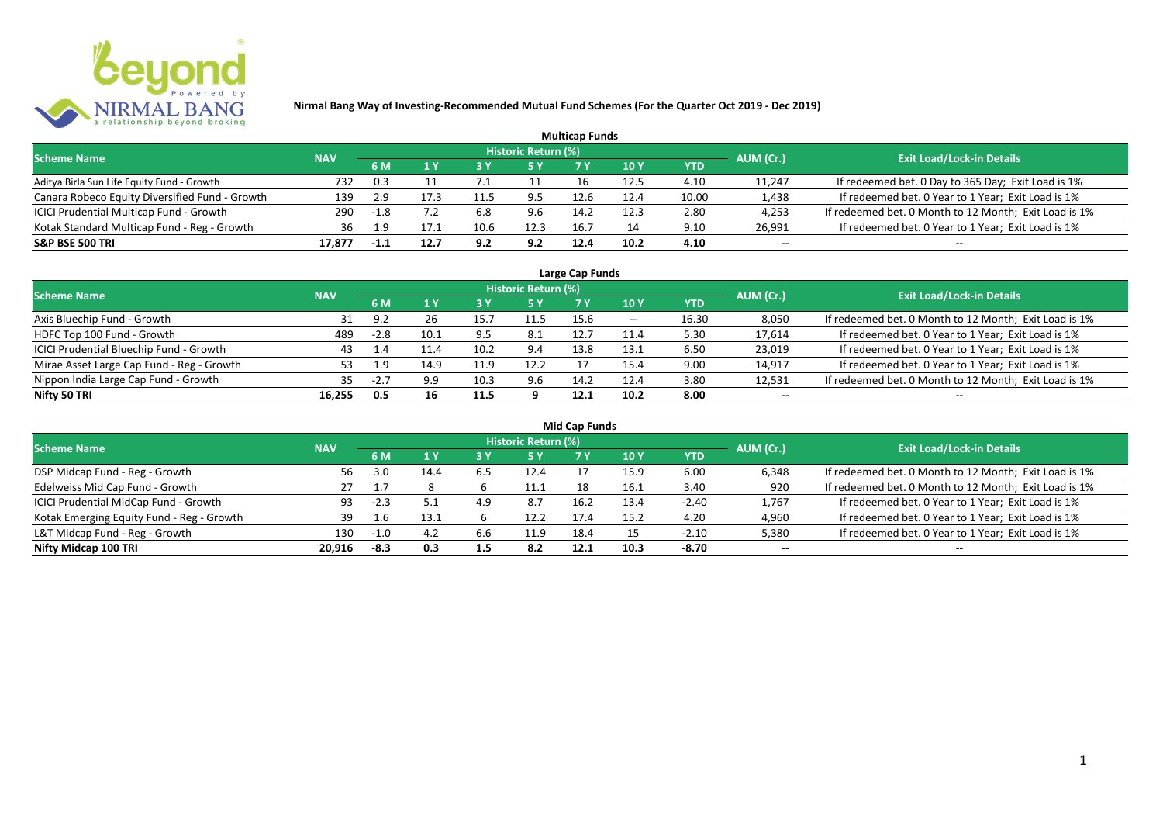

|                                                |            |      |      |      |                            | <b>Multicap Funds</b> |      |            |           |                                                       |
|------------------------------------------------|------------|------|------|------|----------------------------|-----------------------|------|------------|-----------|-------------------------------------------------------|
| <b>Scheme Name</b>                             | <b>NAV</b> |      |      |      | <b>Historic Return (%)</b> |                       |      |            | AUM (Cr.) | <b>Exit Load/Lock-in Details</b>                      |
|                                                |            | 6 M  |      |      |                            |                       | 10 Y | <b>YTD</b> |           |                                                       |
| Aditya Birla Sun Life Equity Fund - Growth     | 732        | 0.3  |      |      |                            | 16                    | 12.5 | 4.10       | 11,247    | If redeemed bet. 0 Day to 365 Day; Exit Load is 1%    |
| Canara Robeco Equity Diversified Fund - Growth | 139        | 2.9  | 17.3 |      | 9.5                        | 12.6                  | 12.4 | 10.00      | 1,438     | If redeemed bet. 0 Year to 1 Year; Exit Load is 1%    |
| ICICI Prudential Multicap Fund - Growth        | 290        | -1.8 |      | 6.8  | 9.6                        | 14.2                  | 12.3 | 2.80       | 4,253     | If redeemed bet. 0 Month to 12 Month; Exit Load is 1% |
| Kotak Standard Multicap Fund - Reg - Growth    | 36         | 1.9  |      | 10.6 | 12.3                       | 16.7                  |      | 9.10       | 26,991    | If redeemed bet. 0 Year to 1 Year; Exit Load is 1%    |
| <b>S&amp;P BSE 500 TRI</b>                     | 17,877     |      | 12.7 | 9.2  | 9.2                        | 12.4                  | 10.2 | 4.10       | $- -$     | $- -$                                                 |

| Large Cap Funds                           |            |                          |      |      |                            |      |            |       |           |                                                       |  |  |  |
|-------------------------------------------|------------|--------------------------|------|------|----------------------------|------|------------|-------|-----------|-------------------------------------------------------|--|--|--|
| <b>Scheme Name</b>                        | <b>NAV</b> |                          |      |      | <b>Historic Return (%)</b> |      |            |       | AUM (Cr.) | <b>Exit Load/Lock-in Details</b>                      |  |  |  |
|                                           |            | 6 M                      |      |      | 5 Y                        |      | <b>10Y</b> | YTD   |           |                                                       |  |  |  |
| Axis Bluechip Fund - Growth               |            | 9 J                      | 26   | 15.  | 11.5                       | 15.6 | $- -$      | 16.30 | 8,050     | If redeemed bet. 0 Month to 12 Month; Exit Load is 1% |  |  |  |
| HDFC Top 100 Fund - Growth                | 489        | $-2.8$                   | 10.1 | 9.5  | 8.1                        | 12.7 | 11.4       | 5.30  | 17,614    | If redeemed bet. 0 Year to 1 Year; Exit Load is 1%    |  |  |  |
| ICICI Prudential Bluechip Fund - Growth   | 43         |                          | 1.4ء | 10.2 | 9.4                        | 13.8 | 13.1       | 6.50  | 23,019    | If redeemed bet. 0 Year to 1 Year; Exit Load is 1%    |  |  |  |
| Mirae Asset Large Cap Fund - Reg - Growth | 53.        | 1.9                      | 14.9 | 11.9 | 12.2                       |      | 15.4       | 9.00  | 14,917    | If redeemed bet. 0 Year to 1 Year; Exit Load is 1%    |  |  |  |
| Nippon India Large Cap Fund - Growth      | 35.        | $\overline{\phantom{a}}$ | 9.9  | 10.3 | 9.6                        | 14.2 | 12.4       | 3.80  | 12,531    | If redeemed bet. 0 Month to 12 Month; Exit Load is 1% |  |  |  |
| Nifty 50 TRI                              | 16,255     | 0.5                      | 16   | 11.5 |                            | 12.1 | 10.2       | 8.00  | $- -$     | $- -$                                                 |  |  |  |

| <b>Mid Cap Funds</b>                      |            |        |      |     |                            |      |      |            |           |                                                       |  |  |  |
|-------------------------------------------|------------|--------|------|-----|----------------------------|------|------|------------|-----------|-------------------------------------------------------|--|--|--|
| <b>Scheme Name</b>                        | <b>NAV</b> |        |      |     | <b>Historic Return (%)</b> |      |      |            | AUM (Cr.) | <b>Exit Load/Lock-in Details</b>                      |  |  |  |
|                                           |            | 6 M    |      |     | 5 Y                        | 7 Y  | 10 Y | <b>YTD</b> |           |                                                       |  |  |  |
| DSP Midcap Fund - Reg - Growth            | 56.        | 3.0    | 14.4 | 6.5 | 12.4                       |      | 15.9 | 6.00       | 6,348     | If redeemed bet. 0 Month to 12 Month; Exit Load is 1% |  |  |  |
| Edelweiss Mid Cap Fund - Growth           | 27         |        |      |     | 11.1                       |      | 16.1 | 3.40       | 920       | If redeemed bet. 0 Month to 12 Month; Exit Load is 1% |  |  |  |
| ICICI Prudential MidCap Fund - Growth     | 93         | $-2.3$ |      | 4.9 | 8.7                        | 16.2 | 13.4 | $-2.40$    | 1,767     | If redeemed bet. 0 Year to 1 Year; Exit Load is 1%    |  |  |  |
| Kotak Emerging Equity Fund - Reg - Growth | 39         |        | 13.1 |     | 12.2                       | 17.4 | 15.2 | 4.20       | 4,960     | If redeemed bet. 0 Year to 1 Year; Exit Load is 1%    |  |  |  |
| L&T Midcap Fund - Reg - Growth            | 130        | $-1.0$ | 4.2  | b.b | 11.9                       | 18.4 |      | $-2.10$    | 5,380     | If redeemed bet. 0 Year to 1 Year; Exit Load is 1%    |  |  |  |
| Nifty Midcap 100 TRI                      | 20.916     | -8.3   | 0.3  | 1.5 | 8.2                        | 12.1 | 10.3 | -8.70      | $- -$     | $- -$                                                 |  |  |  |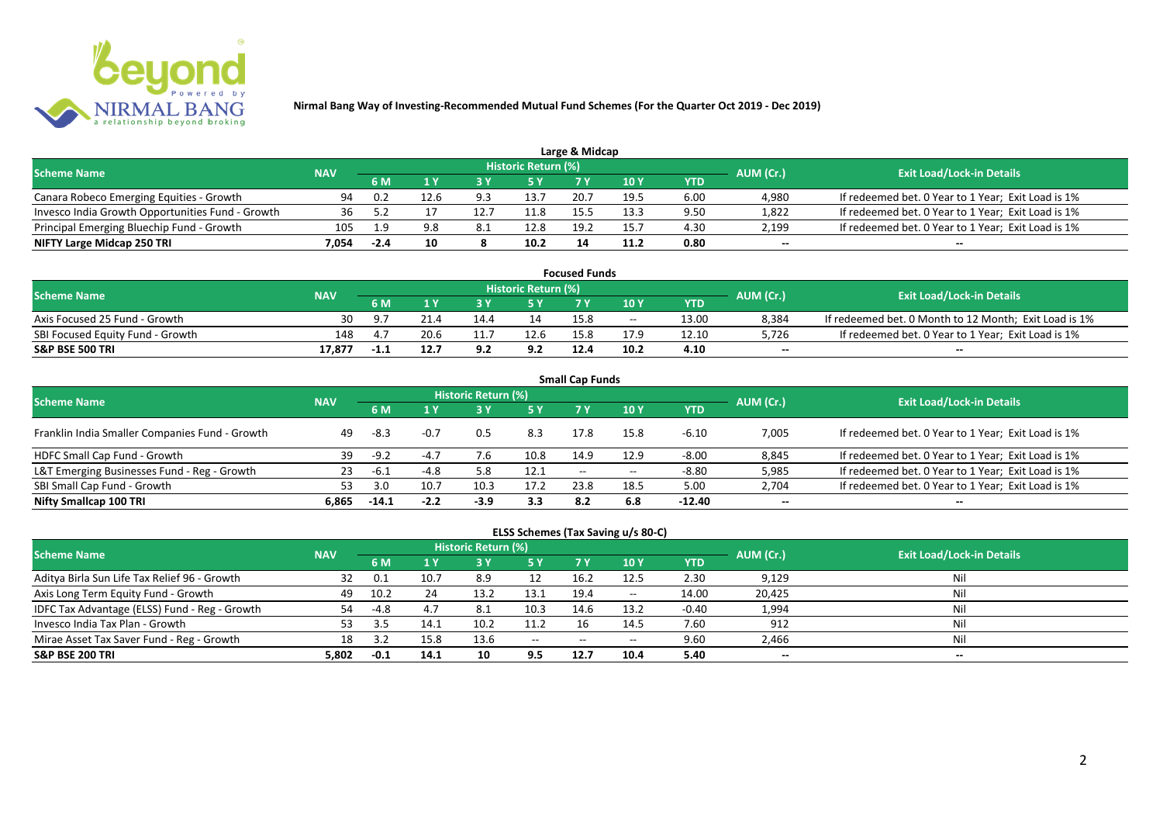

|                                                  |            |        |      |     |                            | Large & Midcap |      |      |           |                                                    |
|--------------------------------------------------|------------|--------|------|-----|----------------------------|----------------|------|------|-----------|----------------------------------------------------|
| <b>Scheme Name</b>                               | <b>NAV</b> |        |      |     | <b>Historic Return (%)</b> |                |      |      | AUM (Cr.) | <b>Exit Load/Lock-in Details</b>                   |
|                                                  |            | 6 M    |      |     | 5 Y                        |                |      | YTD  |           |                                                    |
| Canara Robeco Emerging Equities - Growth         | 94         | 0.2    | 12.6 | 9.3 | 13.7                       | 20.7           | 19.5 | 6.00 | 4,980     | If redeemed bet. 0 Year to 1 Year; Exit Load is 1% |
| Invesco India Growth Opportunities Fund - Growth |            |        |      |     | 11.8                       |                | 13.3 | 9.50 | 1,822     | If redeemed bet. 0 Year to 1 Year; Exit Load is 1% |
| Principal Emerging Bluechip Fund - Growth        | 105        | 19     | 9.8  | 8.1 | 12.8                       | 19.2           | 15.7 | 4.30 | 2,199     | If redeemed bet. 0 Year to 1 Year; Exit Load is 1% |
| NIFTY Large Midcap 250 TRI                       | 7.054      | $-2.4$ | 10   |     | 10.2                       | 14             | 11.2 | 0.80 | $- -$     | $- -$                                              |

| <b>Focused Funds</b>             |            |        |      |      |                            |      |       |       |           |                                                       |  |  |  |
|----------------------------------|------------|--------|------|------|----------------------------|------|-------|-------|-----------|-------------------------------------------------------|--|--|--|
| <b>Scheme Name</b>               | <b>NAV</b> |        |      |      | <b>Historic Return (%)</b> |      |       |       | AUM (Cr.) | <b>Exit Load/Lock-in Details</b>                      |  |  |  |
|                                  |            | 6 M    |      |      | 5 Y                        |      | 10 Y  | YTD   |           |                                                       |  |  |  |
| Axis Focused 25 Fund - Growth    | 30         | _ 0. 7 |      | 14.4 | 14                         | 15.8 | $- -$ | 13.00 | 8,384     | If redeemed bet. 0 Month to 12 Month; Exit Load is 1% |  |  |  |
| SBI Focused Equity Fund - Growth | 148        |        | 20.6 |      | 12.6                       | 15.8 | 17.9  | 12.10 | 5,726     | If redeemed bet. 0 Year to 1 Year; Exit Load is 1%    |  |  |  |
| <b>S&amp;P BSE 500 TRI</b>       | 17,877     | -1.1   | 12.7 | 9.2  | 9.2                        | 12.4 | 10.2  | 4.10  | $-$       | $-$                                                   |  |  |  |

| <b>Small Cap Funds</b>                         |            |         |        |                     |      |                          |       |            |           |                                                    |  |  |  |
|------------------------------------------------|------------|---------|--------|---------------------|------|--------------------------|-------|------------|-----------|----------------------------------------------------|--|--|--|
| <b>Scheme Name</b>                             | <b>NAV</b> |         |        | Historic Return (%) |      |                          |       |            | AUM (Cr.) | <b>Exit Load/Lock-in Details</b>                   |  |  |  |
|                                                |            |         |        |                     | 5 Y  | 7 Y                      | 10Y   | <b>YTD</b> |           |                                                    |  |  |  |
| Franklin India Smaller Companies Fund - Growth | 49         | -8.3    | $-0.7$ | 0.5                 | 8.3  | 17.8                     | 15.8  | $-6.10$    | 7,005     | If redeemed bet. 0 Year to 1 Year; Exit Load is 1% |  |  |  |
| HDFC Small Cap Fund - Growth                   | 39         | $-9.2$  | $-4.7$ |                     | 10.8 | 14.9                     | 12.9  | $-8.00$    | 8,845     | If redeemed bet. 0 Year to 1 Year; Exit Load is 1% |  |  |  |
| L&T Emerging Businesses Fund - Reg - Growth    | 23         | -6.1    | $-4.8$ | 5.8                 | 12.1 | $\overline{\phantom{a}}$ | $- -$ | $-8.80$    | 5,985     | If redeemed bet. 0 Year to 1 Year; Exit Load is 1% |  |  |  |
| SBI Small Cap Fund - Growth                    |            | 3.0     | 10.7   | 10.3                | 17.2 | 23.8                     | 18.5  | 5.00       | 2,704     | If redeemed bet. 0 Year to 1 Year; Exit Load is 1% |  |  |  |
| Nifty Smallcap 100 TRI                         | 6.865      | $-14.1$ | $-2.2$ | $-3.9$              | 3.3  | 8.2                      | 6.8   | $-12.40$   | $- -$     | --                                                 |  |  |  |

## **ELSS Schemes (Tax Saving u/s 80-C)**

| <b>Scheme Name</b>                            | <b>NAV</b> |        |      | <b>Historic Return (%)</b> |            |       |            |         | AUM (Cr.) | <b>Exit Load/Lock-in Details</b> |
|-----------------------------------------------|------------|--------|------|----------------------------|------------|-------|------------|---------|-----------|----------------------------------|
|                                               |            | 6 M    |      |                            | <b>5 Y</b> | 7 Y   | <b>10Y</b> | YTD     |           |                                  |
| Aditya Birla Sun Life Tax Relief 96 - Growth  |            |        | 10.7 | 8.9                        |            | 16.2  | 12.5       | 2.30    | 9,129     | Nil                              |
| Axis Long Term Equity Fund - Growth           | 49         | 10.2   | 24   | 13.2                       | 13.1       | 19.4  | $- -$      | 14.00   | 20,425    | Nil                              |
| IDFC Tax Advantage (ELSS) Fund - Reg - Growth | 54         | $-4.8$ | 4.7  | -8.1                       | 10.3       | 14.6  | 13.2       | $-0.40$ | 1,994     | Nil                              |
| Invesco India Tax Plan - Growth               |            |        |      | 10.2                       | 11.2       |       | 14.5       | 7.60    | 912       | Nil                              |
| Mirae Asset Tax Saver Fund - Reg - Growth     | 18         |        | 15.8 | 13.6                       | $  \,$     | $- -$ | $- -$      | 9.60    | 2,466     | Nil                              |
| <b>S&amp;P BSE 200 TRI</b>                    | 5.802      | $-0.1$ | 14.1 | 10                         | 9.5        | 12.7  | 10.4       | 5.40    | $- -$     | $- -$                            |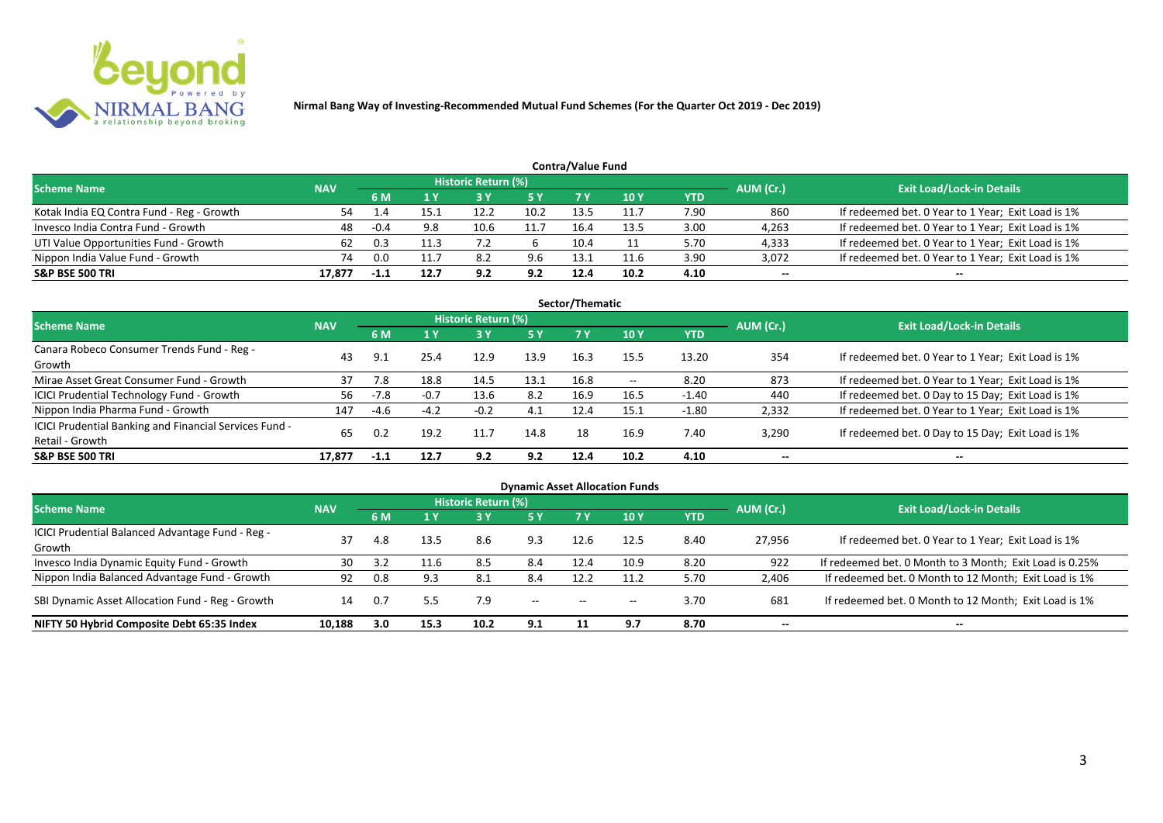

| <b>Contra/Value Fund</b>                  |            |        |      |                            |           |      |      |      |           |                                                    |  |  |  |  |
|-------------------------------------------|------------|--------|------|----------------------------|-----------|------|------|------|-----------|----------------------------------------------------|--|--|--|--|
| <b>Scheme Name</b>                        | <b>NAV</b> |        |      | <b>Historic Return (%)</b> |           |      |      |      | AUM (Cr.) | <b>Exit Load/Lock-in Details</b>                   |  |  |  |  |
|                                           |            | 6 M    |      |                            | <b>5Y</b> |      | 10 Y | YTD  |           |                                                    |  |  |  |  |
| Kotak India EQ Contra Fund - Reg - Growth | 54         |        |      | 12.2                       | 10.2      | 13.5 | 11.7 | 7.90 | 860       | If redeemed bet. 0 Year to 1 Year; Exit Load is 1% |  |  |  |  |
| Invesco India Contra Fund - Growth        | 48         | $-0.4$ | 9.8  | 10.6                       | 11.7      | 16.4 | 13.5 | 3.00 | 4,263     | If redeemed bet. 0 Year to 1 Year; Exit Load is 1% |  |  |  |  |
| UTI Value Opportunities Fund - Growth     | 62         |        |      |                            |           | 10.4 |      | 5.70 | 4,333     | If redeemed bet. 0 Year to 1 Year; Exit Load is 1% |  |  |  |  |
| Nippon India Value Fund - Growth          | 74         | 0.0    |      | 8.2                        | 9.6       | 13.1 | 11.6 | 3.90 | 3,072     | If redeemed bet. 0 Year to 1 Year; Exit Load is 1% |  |  |  |  |
| <b>S&amp;P BSE 500 TRI</b>                | 17.877     |        | 12.7 | 92                         | 9.2       | 12.4 | 10.2 | 4.10 | $- -$     | $-$                                                |  |  |  |  |

| Sector/Thematic                                                           |            |        |        |                            |      |      |       |         |           |                                                    |  |  |  |
|---------------------------------------------------------------------------|------------|--------|--------|----------------------------|------|------|-------|---------|-----------|----------------------------------------------------|--|--|--|
| Scheme Name                                                               | <b>NAV</b> |        |        | <b>Historic Return (%)</b> |      |      |       |         | AUM (Cr.) | <b>Exit Load/Lock-in Details</b>                   |  |  |  |
|                                                                           |            | 6 M    | 1Y     | 73 Y                       | 5 Y  | 7 Y  | 10Y   | YTD     |           |                                                    |  |  |  |
| Canara Robeco Consumer Trends Fund - Reg -<br>Growth                      | 43         | -9.1   | 25.4   | 12.9                       | 13.9 | 16.3 | 15.5  | 13.20   | 354       | If redeemed bet. 0 Year to 1 Year; Exit Load is 1% |  |  |  |
| Mirae Asset Great Consumer Fund - Growth                                  | 37         | 7.8    | 18.8   | 14.5                       | 13.1 | 16.8 | $- -$ | 8.20    | 873       | If redeemed bet. 0 Year to 1 Year; Exit Load is 1% |  |  |  |
| <b>ICICI Prudential Technology Fund - Growth</b>                          | 56         | $-7.8$ | $-0.7$ | 13.6                       | 8.2  | 16.9 | 16.5  | $-1.40$ | 440       | If redeemed bet. 0 Day to 15 Day; Exit Load is 1%  |  |  |  |
| Nippon India Pharma Fund - Growth                                         | 147        | -4.6   | $-4.2$ | $-0.2$                     | 4.1  | 12.4 | 15.1  | $-1.80$ | 2,332     | If redeemed bet. 0 Year to 1 Year; Exit Load is 1% |  |  |  |
| ICICI Prudential Banking and Financial Services Fund -<br>Retail - Growth | 65         | 0.2    | 19.2   | 11.7                       | 14.8 | 18   | 16.9  | 7.40    | 3,290     | If redeemed bet. 0 Day to 15 Day; Exit Load is 1%  |  |  |  |
| <b>S&amp;P BSE 500 TRI</b>                                                | 17.877     | $-1.1$ | 12.7   | 9.2                        | 9.2  | 12.4 | 10.2  | 4.10    | --        | $- -$                                              |  |  |  |

| <b>Dynamic Asset Allocation Funds</b>                      |            |           |      |                            |                          |                          |                          |      |           |                                                         |  |  |  |
|------------------------------------------------------------|------------|-----------|------|----------------------------|--------------------------|--------------------------|--------------------------|------|-----------|---------------------------------------------------------|--|--|--|
| <b>Scheme Name</b>                                         | <b>NAV</b> |           |      | <b>Historic Return (%)</b> |                          |                          |                          |      | AUM (Cr.) | <b>Exit Load/Lock-in Details</b>                        |  |  |  |
|                                                            |            | <b>6M</b> | 1 Y  | <b>3 Y</b>                 | 5 Y                      | <b>7Y</b>                | 10 <sub>Y</sub>          | YTD  |           |                                                         |  |  |  |
| ICICI Prudential Balanced Advantage Fund - Reg -<br>Growth | 37         | 4.8       | 13.5 | 8.6                        | 9.3                      | 12.6                     | 12.5                     | 8.40 | 27,956    | If redeemed bet. 0 Year to 1 Year; Exit Load is 1%      |  |  |  |
| Invesco India Dynamic Equity Fund - Growth                 | 30         |           | 11.6 | 8.5                        | 8.4                      | 12.4                     | 10.9                     | 8.20 | 922       | If redeemed bet. 0 Month to 3 Month; Exit Load is 0.25% |  |  |  |
| Nippon India Balanced Advantage Fund - Growth              | 92         | 0.8       |      | 8.1                        | 8.4                      | 12.2                     |                          | 5.70 | 2,406     | If redeemed bet. 0 Month to 12 Month; Exit Load is 1%   |  |  |  |
| SBI Dynamic Asset Allocation Fund - Reg - Growth           | 14         | 0.7       | 5.5  | 7.9                        | $\overline{\phantom{a}}$ | $\overline{\phantom{a}}$ | $\overline{\phantom{a}}$ | 3.70 | 681       | If redeemed bet. 0 Month to 12 Month; Exit Load is 1%   |  |  |  |
| NIFTY 50 Hybrid Composite Debt 65:35 Index                 | 10,188     | 3.0       | 15.3 | 10.2                       | 9.1                      |                          | 9.7                      | 8.70 | $- -$     | $- -$                                                   |  |  |  |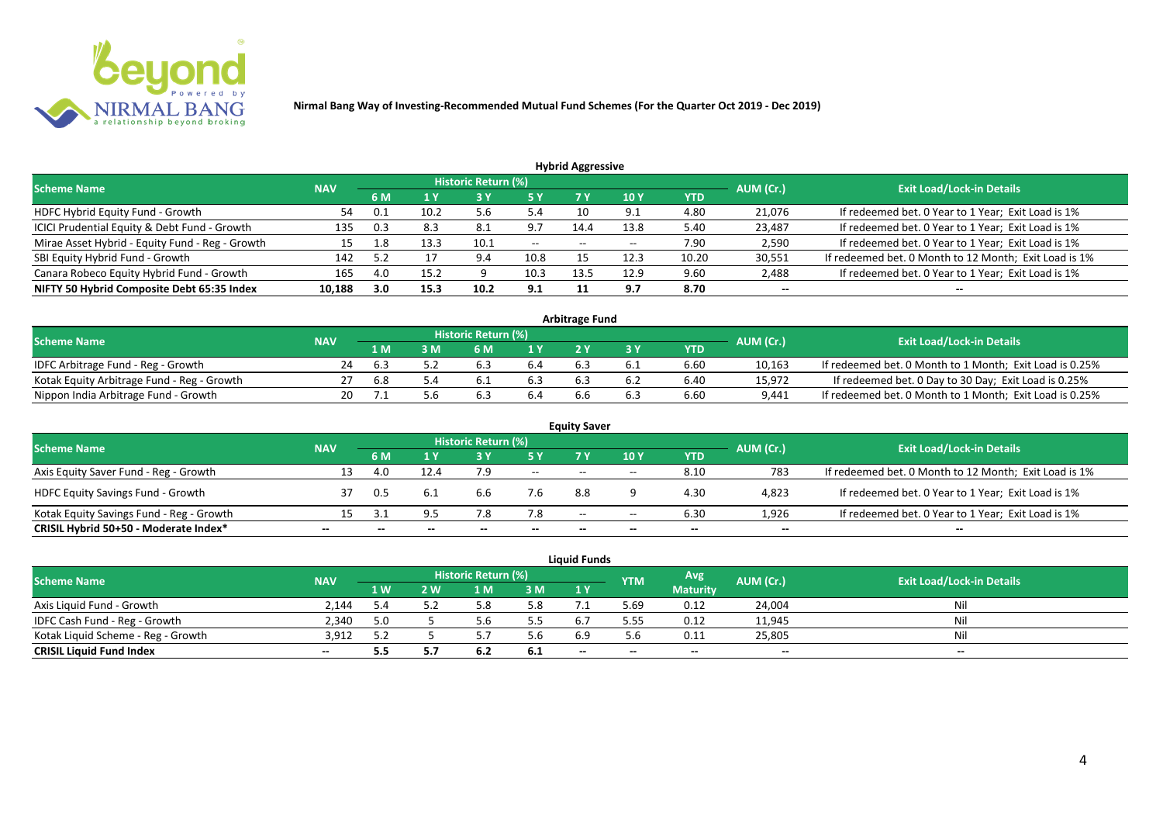

| <b>Hybrid Aggressive</b>                        |            |     |      |                     |        |                                                |                          |       |                          |                                                       |  |  |  |
|-------------------------------------------------|------------|-----|------|---------------------|--------|------------------------------------------------|--------------------------|-------|--------------------------|-------------------------------------------------------|--|--|--|
| <b>Scheme Name</b>                              | <b>NAV</b> |     |      | Historic Return (%) |        |                                                |                          |       | AUM (Cr.)                | <b>Exit Load/Lock-in Details</b>                      |  |  |  |
|                                                 |            | 6 M | 1 Y  |                     | 5 Y    | 7 Y                                            | 10 <sub>Y</sub>          | YTD   |                          |                                                       |  |  |  |
| HDFC Hybrid Equity Fund - Growth                | 54         |     | 10.2 | 5.6                 | 5.4    |                                                | - Q 1                    | 4.80  | 21,076                   | If redeemed bet. 0 Year to 1 Year; Exit Load is 1%    |  |  |  |
| ICICI Prudential Equity & Debt Fund - Growth    | 135        | 0.3 | 8.3  | 8.1                 | 9.7    | 14.4                                           | 13.8                     | 5.40  | 23,487                   | If redeemed bet. 0 Year to 1 Year; Exit Load is 1%    |  |  |  |
| Mirae Asset Hybrid - Equity Fund - Reg - Growth | 15         | 1.8 | 13.3 | 10.1                | $  \,$ | $\hspace{0.1mm}-\hspace{0.1mm}-\hspace{0.1mm}$ | $\overline{\phantom{a}}$ | 7.90  | 2,590                    | If redeemed bet. 0 Year to 1 Year; Exit Load is 1%    |  |  |  |
| SBI Equity Hybrid Fund - Growth                 | 142        | 5.2 |      | 9.4                 | 10.8   |                                                | 12.3                     | 10.20 | 30,551                   | If redeemed bet. 0 Month to 12 Month; Exit Load is 1% |  |  |  |
| Canara Robeco Equity Hybrid Fund - Growth       | 165        | 4.0 | 15.2 | a                   | 10.3   | 13.5                                           | 12.9                     | 9.60  | 2,488                    | If redeemed bet. 0 Year to 1 Year; Exit Load is 1%    |  |  |  |
| NIFTY 50 Hybrid Composite Debt 65:35 Index      | 10,188     | 3.0 | 15.3 | 10.2                | 9.1    |                                                | 9.7                      | 8.70  | $\overline{\phantom{a}}$ |                                                       |  |  |  |

| <b>Arbitrage Fund</b>                      |            |     |     |                            |                  |     |     |      |           |                                                         |  |  |  |
|--------------------------------------------|------------|-----|-----|----------------------------|------------------|-----|-----|------|-----------|---------------------------------------------------------|--|--|--|
| <b>Scheme Name</b>                         | <b>NAV</b> |     |     | <b>Historic Return (%)</b> |                  |     |     |      | AUM (Cr.) | <b>Exit Load/Lock-in Details</b>                        |  |  |  |
|                                            |            | L M | : M | 6 M                        | $\overline{1}$ Y |     |     | YTD  |           |                                                         |  |  |  |
| IDFC Arbitrage Fund - Reg - Growth         | 24         | 6.3 |     | $b_{.5}$                   | 6.4              |     | b.1 | 6.60 | 10,163    | If redeemed bet. 0 Month to 1 Month; Exit Load is 0.25% |  |  |  |
| Kotak Equity Arbitrage Fund - Reg - Growth |            | 6.8 |     | b.,                        |                  |     |     | 6.40 | 15,972    | If redeemed bet. 0 Day to 30 Day; Exit Load is 0.25%    |  |  |  |
| Nippon India Arbitrage Fund - Growth       |            |     |     | . ხ                        | 6.4              | b.b |     | 6.60 | 9,441     | If redeemed bet. 0 Month to 1 Month; Exit Load is 0.25% |  |  |  |

|                                          |            |     |      |                     |        | <b>Equity Saver</b> |       |            |                          |                                                       |
|------------------------------------------|------------|-----|------|---------------------|--------|---------------------|-------|------------|--------------------------|-------------------------------------------------------|
| <b>Scheme Name</b>                       | <b>NAV</b> |     |      | Historic Return (%) |        |                     |       |            | AUM (Cr.)                | <b>Exit Load/Lock-in Details</b>                      |
|                                          |            | 6 M |      |                     | 5 Y    | 7V                  | 10Y   | <b>YTD</b> |                          |                                                       |
| Axis Equity Saver Fund - Reg - Growth    | 13         |     | 12.4 | 7.9                 | $  \,$ | $- -$               | $- -$ | 8.10       | 783                      | If redeemed bet. 0 Month to 12 Month; Exit Load is 1% |
| <b>HDFC Equity Savings Fund - Growth</b> |            | 0.5 | 6.1  | b.b                 | 7.6    | 8.8                 |       | 4.30       | 4,823                    | If redeemed bet. 0 Year to 1 Year; Exit Load is 1%    |
| Kotak Equity Savings Fund - Reg - Growth | 15         |     | 9.5  |                     | 7.8    | $- -$               | $-$   | 6.30       | 1.926                    | If redeemed bet. 0 Year to 1 Year; Exit Load is 1%    |
| CRISIL Hybrid 50+50 - Moderate Index*    | --         |     |      |                     |        | --                  | $- -$ | $-$        | $\overline{\phantom{a}}$ | $- -$                                                 |

|                                    |            |     |     |                     |     | <b>Liquid Funds</b> |            |                          |           |                                  |
|------------------------------------|------------|-----|-----|---------------------|-----|---------------------|------------|--------------------------|-----------|----------------------------------|
| <b>Scheme Name</b>                 | <b>NAV</b> |     |     | Historic Return (%) |     |                     | <b>YTM</b> | Avg.                     | AUM (Cr.) | <b>Exit Load/Lock-in Details</b> |
|                                    |            | 1 W | / W | ∣ M                 | 3 M | 1Y                  |            | <b>Maturity</b>          |           |                                  |
| Axis Liquid Fund - Growth          | 2.144      |     |     |                     | 5.8 |                     | 69.د       | 0.12                     | 24,004    | Nil                              |
| IDFC Cash Fund - Reg - Growth      | 2,340      | 5.0 |     |                     | 5.5 |                     | 5.55       | 0.12                     | 11,945    | Nil                              |
| Kotak Liquid Scheme - Reg - Growth | 3,912      |     |     |                     | 5.6 |                     | 5.h        | 0.11                     | 25,805    | Nil                              |
| <b>CRISIL Liquid Fund Index</b>    | $- -$      | 5.5 |     | 6.2                 | 6.1 | $-$                 | $- -$      | $\overline{\phantom{a}}$ | $- -$     | $- -$                            |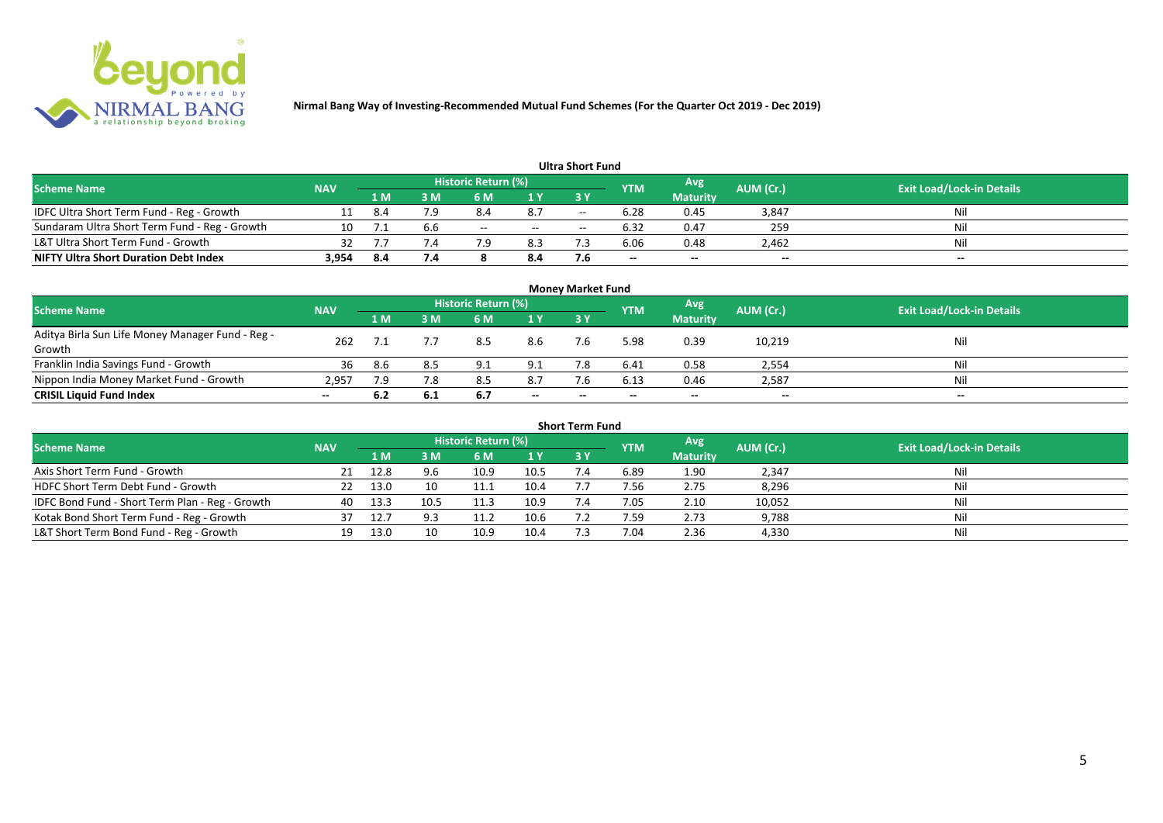

|                                               |            |      |     |                     |     | <b>Ultra Short Fund</b> |                          |                 |           |                                  |
|-----------------------------------------------|------------|------|-----|---------------------|-----|-------------------------|--------------------------|-----------------|-----------|----------------------------------|
| <b>Scheme Name</b>                            | <b>NAV</b> |      |     | Historic Return (%) |     |                         | <b>YTM</b>               | Avg             | AUM (Cr.) | <b>Exit Load/Lock-in Details</b> |
|                                               |            | 1 M  | sм  | 6 M                 | 1 Y | 3 Y                     |                          | <b>Maturity</b> |           |                                  |
| IDFC Ultra Short Term Fund - Reg - Growth     |            | 8.4  | 7.9 | 8.4                 | 8.7 | $- -$                   | 6.28                     | 0.45            | 3,847     | Nil                              |
| Sundaram Ultra Short Term Fund - Reg - Growth | 10         |      | b.b | $- -$               | $-$ | $- -$                   | 6.32                     | 0.47            | 259       | Nil                              |
| L&T Ultra Short Term Fund - Growth            | 32         |      |     | 70                  | 8.3 |                         | 6.06                     | 0.48            | 2,462     | Nil                              |
| <b>NIFTY Ultra Short Duration Debt Index</b>  | 3,954      | -8.4 | 7.4 |                     | 8.4 |                         | $\overline{\phantom{a}}$ | $- -$           | $-$       | $- -$                            |

|                                                            |            |     |     |                            |       | <b>Money Market Fund</b> |            |                 |           |                                  |
|------------------------------------------------------------|------------|-----|-----|----------------------------|-------|--------------------------|------------|-----------------|-----------|----------------------------------|
| <b>Scheme Name</b>                                         | <b>NAV</b> |     |     | <b>Historic Return (%)</b> |       |                          | <b>YTM</b> | Avg             | AUM (Cr.) | <b>Exit Load/Lock-in Details</b> |
|                                                            |            | 1 M | 3 M | <b>6 M</b>                 | 1Y    | 3Y                       |            | <b>Maturity</b> |           |                                  |
| Aditya Birla Sun Life Money Manager Fund - Reg -<br>Growth | 262        |     |     | 8.5                        | 8.6   | 7.6                      | 5.98       | 0.39            | 10,219    | Nil                              |
| Franklin India Savings Fund - Growth                       | 36         | 8.6 |     | 9.1                        | 9.1   |                          | 6.41       | 0.58            | 2,554     | Nil                              |
| Nippon India Money Market Fund - Growth                    | 2,957      | 7.9 | 7.8 | 8.5                        | 8.7   | 7.6                      | 6.13       | 0.46            | 2,587     | Nil                              |
| <b>CRISIL Liquid Fund Index</b>                            | $- -$      | 6.2 | 6.1 | -6.7                       | $- -$ | $-$                      |            | $- -$           | $- -$     | $- -$                            |

|                                                 |            |      |      |                     |      | <b>Short Term Fund</b> |            |                 |           |                                  |
|-------------------------------------------------|------------|------|------|---------------------|------|------------------------|------------|-----------------|-----------|----------------------------------|
| <b>Scheme Name</b>                              | <b>NAV</b> |      |      | Historic Return (%) |      |                        | <b>YTM</b> | Avg             | AUM (Cr.) | <b>Exit Load/Lock-in Details</b> |
|                                                 |            | 1 M. | 3 M  | 6 M                 | 1Y   | <b>3 Y</b>             |            | <b>Maturity</b> |           |                                  |
| Axis Short Term Fund - Growth                   |            | 12.8 |      | 10.9                | 10.5 |                        | 6.89       | 1.90            | 2,347     | Nil                              |
| HDFC Short Term Debt Fund - Growth              |            | 13.0 |      |                     | 10.4 |                        | 7.56       | 2.75            | 8,296     | Nil                              |
| IDFC Bond Fund - Short Term Plan - Reg - Growth | 40         | 13.3 | 10.5 | 11.3                | 10.9 | 7.4                    | 7.05       | 2.10            | 10,052    | Nil                              |
| Kotak Bond Short Term Fund - Reg - Growth       | 37         | 12.7 | 9.3  | 11.2                | 10.6 |                        | 7.59       | 2.73            | 9,788     | Nil                              |
| L&T Short Term Bond Fund - Reg - Growth         |            | 13.0 |      | 10.9                | 10.4 |                        | 7.04       | 2.36            | 4,330     | Nil                              |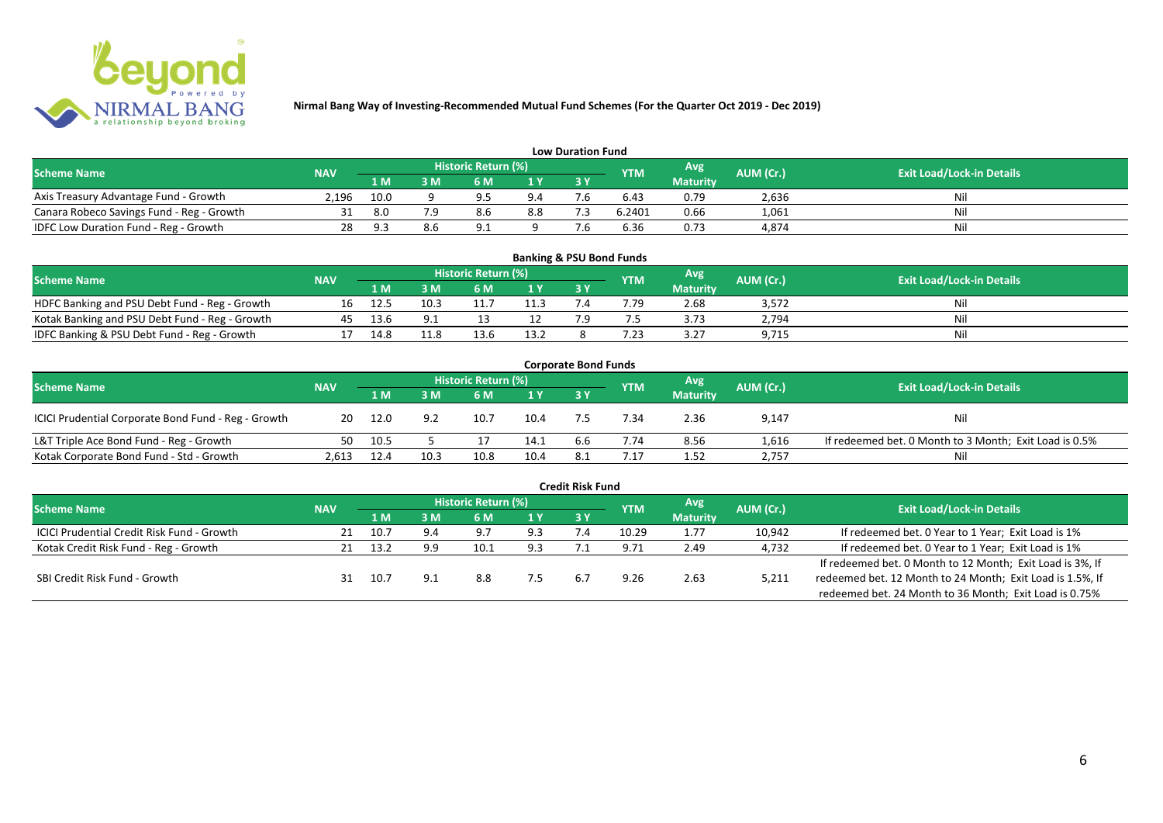

|                                           |            |      |    |                     |     | <b>Low Duration Fund</b> |            |                 |           |                                  |
|-------------------------------------------|------------|------|----|---------------------|-----|--------------------------|------------|-----------------|-----------|----------------------------------|
| <b>Scheme Name</b>                        | <b>NAV</b> |      |    | Historic Return (%) |     |                          | <b>YTM</b> | Avg'            | AUM (Cr.) | <b>Exit Load/Lock-in Details</b> |
|                                           |            | 1 M  | sм | 6 M                 | 1 Y | 3 Y                      |            | <b>Maturity</b> |           |                                  |
| Axis Treasury Advantage Fund - Growth     | 2.196      | 10.0 |    | $\alpha$            | 9.4 |                          | 6.43       | 0.79            | 2,636     | Nil                              |
| Canara Robeco Savings Fund - Reg - Growth |            | 8.0  |    | 8.6                 | 8.8 |                          | 6.2401     | 0.66            | 1,061     | Nil                              |
| IDFC Low Duration Fund - Reg - Growth     |            | Q 3  |    | $\Omega$            |     |                          | 6.36       | 0.73            | 4,874     | Nil                              |

| <b>Banking &amp; PSU Bond Funds</b>            |            |      |      |                            |      |      |            |                 |                  |                                  |  |  |  |  |
|------------------------------------------------|------------|------|------|----------------------------|------|------|------------|-----------------|------------------|----------------------------------|--|--|--|--|
| Scheme Name                                    | <b>NAV</b> |      |      | <b>Historic Return (%)</b> |      |      | <b>YTM</b> | Avg             | <b>AUM (Cr.)</b> | <b>Exit Load/Lock-in Details</b> |  |  |  |  |
|                                                |            | 1 M  | sм   | 6 M                        | 1 Y  | 73 Y |            | <b>Maturity</b> |                  |                                  |  |  |  |  |
| HDFC Banking and PSU Debt Fund - Reg - Growth  |            | 12.5 | 10.3 |                            | 11.3 |      | 4.79       | 2.68            | 3,572            |                                  |  |  |  |  |
| Kotak Banking and PSU Debt Fund - Reg - Growth |            | 13.6 |      |                            |      |      |            | 3.73            | 2,794            |                                  |  |  |  |  |
| IDFC Banking & PSU Debt Fund - Reg - Growth    |            | 14.8 | 11.8 | 13.6                       | 13.2 |      |            | 3.27            | 9,715            | Nil                              |  |  |  |  |

| <b>Corporate Bond Funds</b>                         |            |      |      |                            |      |     |            |                 |           |                                                        |  |  |  |  |
|-----------------------------------------------------|------------|------|------|----------------------------|------|-----|------------|-----------------|-----------|--------------------------------------------------------|--|--|--|--|
| <b>Scheme Name</b>                                  | <b>NAV</b> |      |      | <b>Historic Return (%)</b> |      |     | <b>YTM</b> | Avg             | AUM (Cr.) | <b>Exit Load/Lock-in Details</b>                       |  |  |  |  |
|                                                     |            | 1 M  | : M  | 6 M                        | 1Y   | 3Y  |            | <b>Maturity</b> |           |                                                        |  |  |  |  |
| ICICI Prudential Corporate Bond Fund - Reg - Growth | 20         | 12.0 | 9.2  | 10.7                       | 10.4 |     | 7.34       | 2.36            | 9,147     | Nil                                                    |  |  |  |  |
| L&T Triple Ace Bond Fund - Reg - Growth             | 50         | 10.5 |      |                            | 14.1 | 6.6 | 7.74       | 8.56            | 1,616     | If redeemed bet. 0 Month to 3 Month; Exit Load is 0.5% |  |  |  |  |
| Kotak Corporate Bond Fund - Std - Growth            | 2.613      | 12.4 | 10.3 | 10.8                       | 10.4 |     | .17        | 1.52            | 2,757     | Nil                                                    |  |  |  |  |

|                                            |            |      |     |                            |      | <b>Credit Risk Fund</b> |            |                 |           |                                                           |
|--------------------------------------------|------------|------|-----|----------------------------|------|-------------------------|------------|-----------------|-----------|-----------------------------------------------------------|
| <b>Scheme Name</b>                         | <b>NAV</b> |      |     | <b>Historic Return (%)</b> |      |                         | <b>YTM</b> | Avg             | AUM (Cr.) | <b>Exit Load/Lock-in Details</b>                          |
|                                            |            | 1 M  | 3 M | 6 M                        | '1 Y | 3 Y                     |            | <b>Maturity</b> |           |                                                           |
| ICICI Prudential Credit Risk Fund - Growth |            | 10.7 | 9.4 | 9.7                        | 9.3  |                         | 10.29      | 1.77            | 10,942    | If redeemed bet. 0 Year to 1 Year; Exit Load is 1%        |
| Kotak Credit Risk Fund - Reg - Growth      |            | 13.2 | 9.9 | 10.1                       | 9.3  |                         | 9.71       | 2.49            | 4,732     | If redeemed bet. 0 Year to 1 Year; Exit Load is 1%        |
|                                            |            |      |     |                            |      |                         |            |                 |           | If redeemed bet. 0 Month to 12 Month; Exit Load is 3%, If |
| SBI Credit Risk Fund - Growth              |            | 10.7 |     | 8.8                        | 7.5  | 6 <sup>1</sup>          | 9.26       | 2.63            | 5,211     | redeemed bet. 12 Month to 24 Month; Exit Load is 1.5%, If |
|                                            |            |      |     |                            |      |                         |            |                 |           | redeemed bet. 24 Month to 36 Month; Exit Load is 0.75%    |